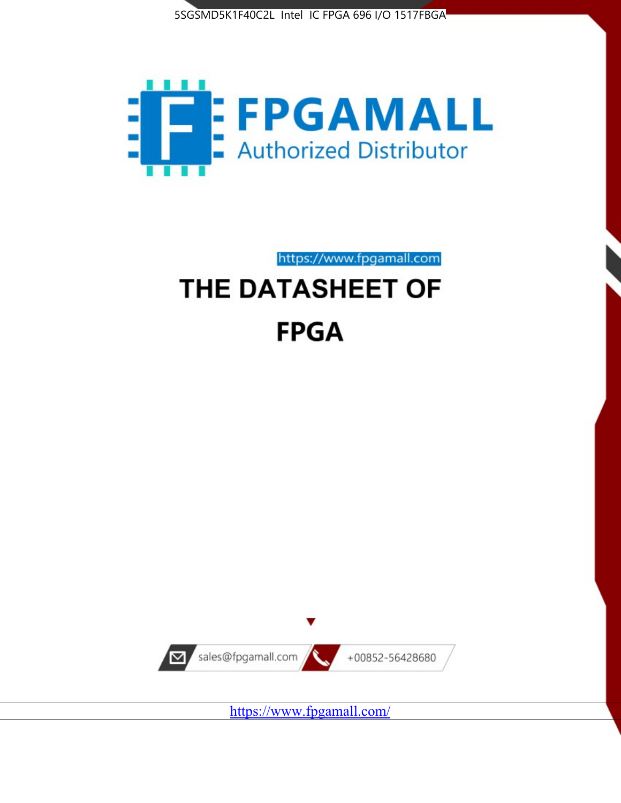



# https://www.fpgamall.com THE DATASHEET OF **FPGA**



<https://www.fpgamall.com/>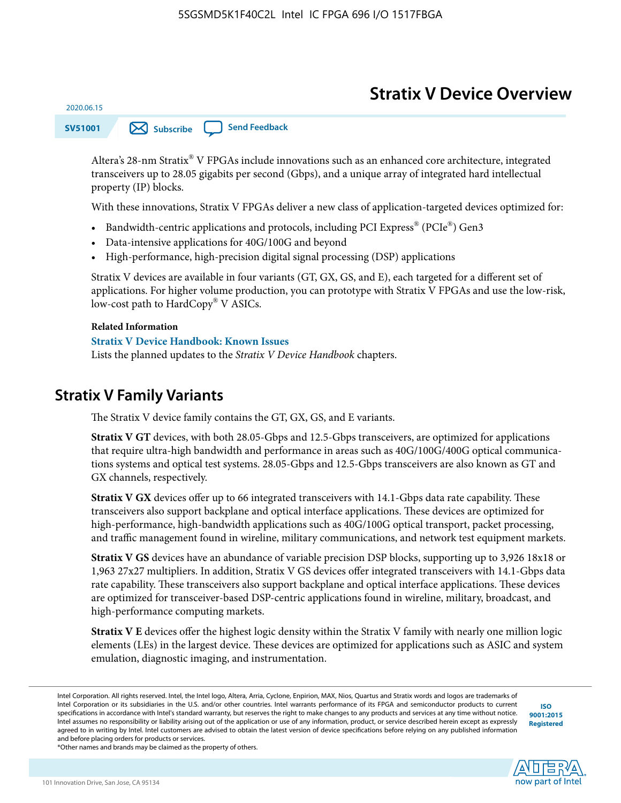# **Stratix V Device Overview**

**SV51001 [Subscribe](https://www.altera.com/servlets/subscriptions/alert?id=SV51001) [Send Feedback](mailto:FPGAtechdocfeedback@intel.com?subject=Feedback%20on%20(SV51001%202020.06.15)%20Stratix%20V%20Device%20Overview&body=We%20appreciate%20your%20feedback.%20In%20your%20comments,%20also%20specify%20the%20page%20number%20or%20paragraph.%20Thank%20you.)** 

Altera's 28-nm Stratix® V FPGAs include innovations such as an enhanced core architecture, integrated transceivers up to 28.05 gigabits per second (Gbps), and a unique array of integrated hard intellectual property (IP) blocks.

With these innovations, Stratix V FPGAs deliver a new class of application-targeted devices optimized for:

- Bandwidth-centric applications and protocols, including PCI Express® (PCIe®) Gen3
- Data-intensive applications for 40G/100G and beyond
- High-performance, high-precision digital signal processing (DSP) applications

Stratix V devices are available in four variants (GT, GX, GS, and E), each targeted for a different set of applications. For higher volume production, you can prototype with Stratix V FPGAs and use the low-risk, low-cost path to HardCopy® V ASICs.

#### **Related Information**

2020.06.15

#### **[Stratix V Device Handbook: Known Issues](http://www.altera.com/support/kdb/solutions/rd08242010_83.html)**

Lists the planned updates to the *Stratix V Device Handbook* chapters.

### **Stratix V Family Variants**

The Stratix V device family contains the GT, GX, GS, and E variants.

**Stratix V GT** devices, with both 28.05-Gbps and 12.5-Gbps transceivers, are optimized for applications that require ultra-high bandwidth and performance in areas such as 40G/100G/400G optical communica‐ tions systems and optical test systems. 28.05-Gbps and 12.5-Gbps transceivers are also known as GT and GX channels, respectively.

**Stratix V GX** devices offer up to 66 integrated transceivers with 14.1-Gbps data rate capability. These transceivers also support backplane and optical interface applications. These devices are optimized for high-performance, high-bandwidth applications such as 40G/100G optical transport, packet processing, and traffic management found in wireline, military communications, and network test equipment markets.

**Stratix V GS** devices have an abundance of variable precision DSP blocks, supporting up to 3,926 18x18 or 1,963 27x27 multipliers. In addition, Stratix V GS devices offer integrated transceivers with 14.1-Gbps data rate capability. These transceivers also support backplane and optical interface applications. These devices are optimized for transceiver-based DSP-centric applications found in wireline, military, broadcast, and high-performance computing markets.

**Stratix V E** devices offer the highest logic density within the Stratix V family with nearly one million logic elements (LEs) in the largest device. These devices are optimized for applications such as ASIC and system emulation, diagnostic imaging, and instrumentation.

**[ISO](http://www.altera.com/support/devices/reliability/certifications/rel-certifications.html) [9001:2015](http://www.altera.com/support/devices/reliability/certifications/rel-certifications.html) [Registered](http://www.altera.com/support/devices/reliability/certifications/rel-certifications.html)**

**low part of Intel** 

\*Other names and brands may be claimed as the property of others.

Intel Corporation. All rights reserved. Intel, the Intel logo, Altera, Arria, Cyclone, Enpirion, MAX, Nios, Quartus and Stratix words and logos are trademarks of Intel Corporation or its subsidiaries in the U.S. and/or other countries. Intel warrants performance of its FPGA and semiconductor products to current specifications in accordance with Intel's standard warranty, but reserves the right to make changes to any products and services at any time without notice. Intel assumes no responsibility or liability arising out of the application or use of any information, product, or service described herein except as expressly agreed to in writing by Intel. Intel customers are advised to obtain the latest version of device specifications before relying on any published information and before placing orders for products or services.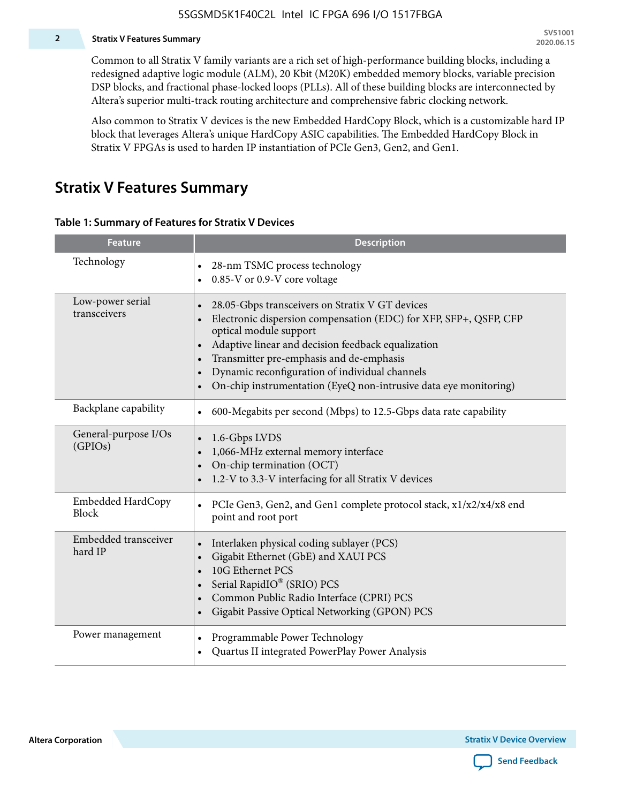#### **2 Stratix V Features Summary**

Common to all Stratix V family variants are a rich set of high-performance building blocks, including a redesigned adaptive logic module (ALM), 20 Kbit (M20K) embedded memory blocks, variable precision DSP blocks, and fractional phase-locked loops (PLLs). All of these building blocks are interconnected by Altera's superior multi-track routing architecture and comprehensive fabric clocking network.

Also common to Stratix V devices is the new Embedded HardCopy Block, which is a customizable hard IP block that leverages Altera's unique HardCopy ASIC capabilities. The Embedded HardCopy Block in Stratix V FPGAs is used to harden IP instantiation of PCIe Gen3, Gen2, and Gen1.

### **Stratix V Features Summary**

#### **Table 1: Summary of Features for Stratix V Devices**

| <b>Feature</b>                    | <b>Description</b>                                                                                                                                                                                                                                                                                                                                                                                                         |
|-----------------------------------|----------------------------------------------------------------------------------------------------------------------------------------------------------------------------------------------------------------------------------------------------------------------------------------------------------------------------------------------------------------------------------------------------------------------------|
| Technology                        | 28-nm TSMC process technology<br>$\bullet$<br>0.85-V or 0.9-V core voltage                                                                                                                                                                                                                                                                                                                                                 |
| Low-power serial<br>transceivers  | 28.05-Gbps transceivers on Stratix V GT devices<br>$\bullet$<br>Electronic dispersion compensation (EDC) for XFP, SFP+, QSFP, CFP<br>optical module support<br>Adaptive linear and decision feedback equalization<br>$\bullet$<br>Transmitter pre-emphasis and de-emphasis<br>Dynamic reconfiguration of individual channels<br>$\bullet$<br>On-chip instrumentation (EyeQ non-intrusive data eye monitoring)<br>$\bullet$ |
| Backplane capability              | 600-Megabits per second (Mbps) to 12.5-Gbps data rate capability<br>$\bullet$                                                                                                                                                                                                                                                                                                                                              |
| General-purpose I/Os<br>(GPIOs)   | 1.6-Gbps LVDS<br>1,066-MHz external memory interface<br>$\bullet$<br>On-chip termination (OCT)<br>$\bullet$<br>1.2-V to 3.3-V interfacing for all Stratix V devices                                                                                                                                                                                                                                                        |
| Embedded HardCopy<br><b>Block</b> | PCIe Gen3, Gen2, and Gen1 complete protocol stack, x1/x2/x4/x8 end<br>point and root port                                                                                                                                                                                                                                                                                                                                  |
| Embedded transceiver<br>hard IP   | Interlaken physical coding sublayer (PCS)<br>$\bullet$<br>Gigabit Ethernet (GbE) and XAUI PCS<br>$\bullet$<br>10G Ethernet PCS<br>Serial RapidIO® (SRIO) PCS<br>$\bullet$<br>Common Public Radio Interface (CPRI) PCS<br>$\bullet$<br>Gigabit Passive Optical Networking (GPON) PCS<br>$\bullet$                                                                                                                           |
| Power management                  | Programmable Power Technology<br>Quartus II integrated PowerPlay Power Analysis                                                                                                                                                                                                                                                                                                                                            |

**Altera Corporation** 

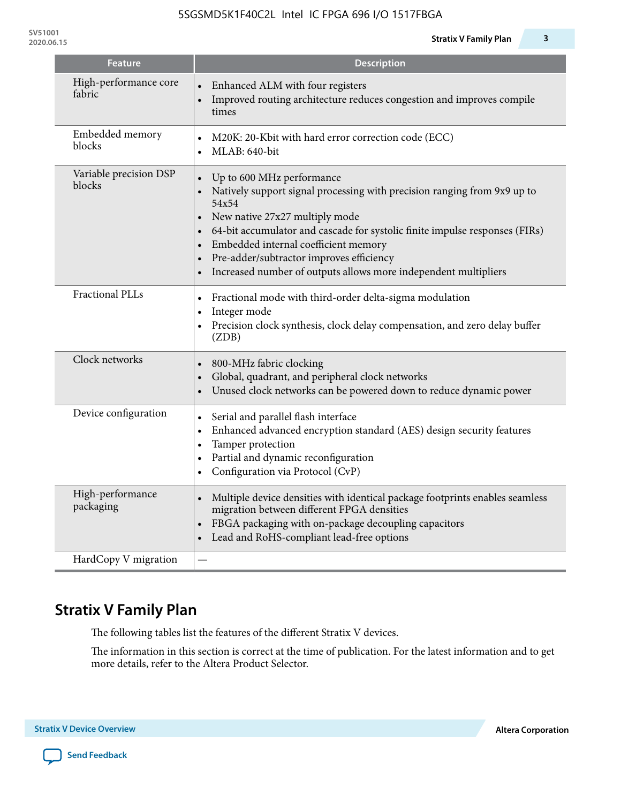| <b>Feature</b>                   | <b>Description</b>                                                                                                                                                                                                                                                                                                                                                                                  |
|----------------------------------|-----------------------------------------------------------------------------------------------------------------------------------------------------------------------------------------------------------------------------------------------------------------------------------------------------------------------------------------------------------------------------------------------------|
| High-performance core<br>fabric  | Enhanced ALM with four registers<br>Improved routing architecture reduces congestion and improves compile<br>times                                                                                                                                                                                                                                                                                  |
| Embedded memory<br>blocks        | M20K: 20-Kbit with hard error correction code (ECC)<br>MLAB: 640-bit<br>$\bullet$                                                                                                                                                                                                                                                                                                                   |
| Variable precision DSP<br>blocks | Up to 600 MHz performance<br>$\bullet$<br>Natively support signal processing with precision ranging from 9x9 up to<br>54x54<br>New native 27x27 multiply mode<br>64-bit accumulator and cascade for systolic finite impulse responses (FIRs)<br>Embedded internal coefficient memory<br>Pre-adder/subtractor improves efficiency<br>Increased number of outputs allows more independent multipliers |
| Fractional PLLs                  | Fractional mode with third-order delta-sigma modulation<br>$\bullet$<br>Integer mode<br>$\bullet$<br>Precision clock synthesis, clock delay compensation, and zero delay buffer<br>$\bullet$<br>(ZDB)                                                                                                                                                                                               |
| Clock networks                   | 800-MHz fabric clocking<br>$\bullet$<br>Global, quadrant, and peripheral clock networks<br>Unused clock networks can be powered down to reduce dynamic power                                                                                                                                                                                                                                        |
| Device configuration             | Serial and parallel flash interface<br>$\bullet$<br>Enhanced advanced encryption standard (AES) design security features<br>$\bullet$<br>Tamper protection<br>$\bullet$<br>Partial and dynamic reconfiguration<br>$\bullet$<br>Configuration via Protocol (CvP)                                                                                                                                     |
| High-performance<br>packaging    | Multiple device densities with identical package footprints enables seamless<br>$\bullet$<br>migration between different FPGA densities<br>FBGA packaging with on-package decoupling capacitors<br>$\bullet$<br>Lead and RoHS-compliant lead-free options<br>$\bullet$                                                                                                                              |
| HardCopy V migration             |                                                                                                                                                                                                                                                                                                                                                                                                     |

# **Stratix V Family Plan**

The following tables list the features of the different Stratix V devices.

The information in this section is correct at the time of publication. For the latest information and to get more details, refer to the Altera Product Selector.

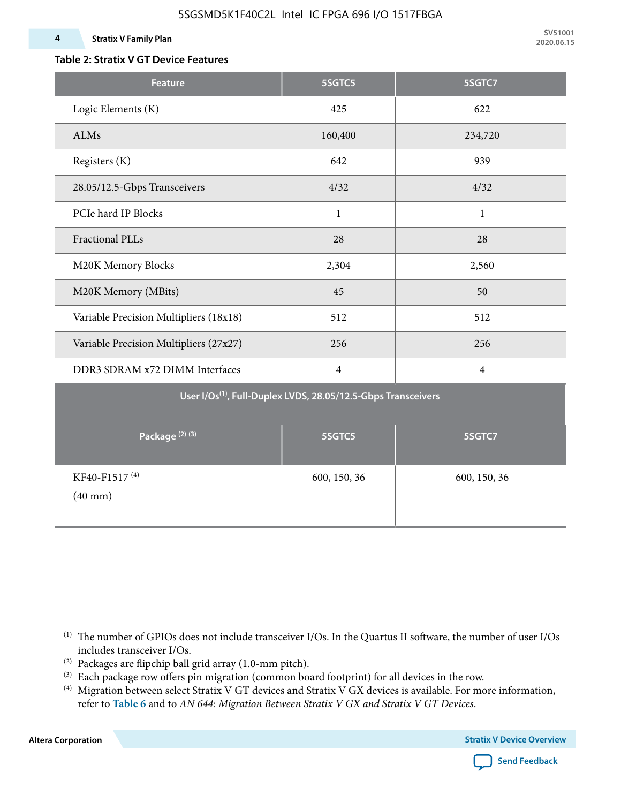#### **4 Stratix V Family Plan**

### **Table 2: Stratix V GT Device Features**

| <b>Feature</b>                                 | 5SGTC5                                                                    | 5SGTC7         |  |  |
|------------------------------------------------|---------------------------------------------------------------------------|----------------|--|--|
| Logic Elements (K)                             | 425                                                                       | 622            |  |  |
| ALMs                                           | 160,400                                                                   | 234,720        |  |  |
| Registers (K)                                  | 642                                                                       | 939            |  |  |
| 28.05/12.5-Gbps Transceivers                   | 4/32                                                                      | 4/32           |  |  |
| PCIe hard IP Blocks                            | $\mathbf{1}$                                                              | $\mathbf{1}$   |  |  |
| <b>Fractional PLLs</b>                         | 28                                                                        | 28             |  |  |
| M20K Memory Blocks                             | 2,304                                                                     | 2,560          |  |  |
| M20K Memory (MBits)                            | 45                                                                        | 50             |  |  |
| Variable Precision Multipliers (18x18)         | 512                                                                       | 512            |  |  |
| Variable Precision Multipliers (27x27)         | 256                                                                       | 256            |  |  |
| DDR3 SDRAM x72 DIMM Interfaces                 | $\overline{4}$                                                            | $\overline{4}$ |  |  |
|                                                | User I/Os <sup>(1)</sup> , Full-Duplex LVDS, 28.05/12.5-Gbps Transceivers |                |  |  |
| Package <sup>(2)(3)</sup>                      | 5SGTC5                                                                    | 5SGTC7         |  |  |
| KF40-F1517 <sup>(4)</sup><br>$(40 \text{ mm})$ | 600, 150, 36                                                              | 600, 150, 36   |  |  |

**Altera Corporation** 



<sup>(1)</sup> The number of GPIOs does not include transceiver I/Os. In the Quartus II software, the number of user I/Os includes transceiver I/Os.

 $^{(2)}$  Packages are flipchip ball grid array (1.0-mm pitch).

<sup>(3)</sup> Each package row offers pin migration (common board footprint) for all devices in the row.

<sup>(4)</sup> Migration between select Stratix V GT devices and Stratix V GX devices is available. For more information, refer to **Table 6** and to *AN 644: Migration Between Stratix V GX and Stratix V GT Devices*.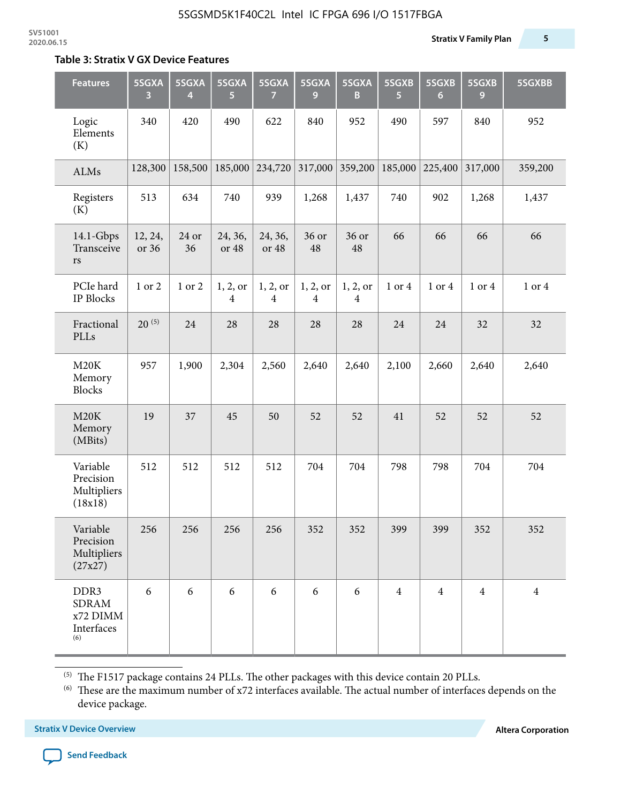#### **Table 3: Stratix V GX Device Features**

| <b>Features</b>                                       | 5SGXA<br>3       | 5SGXA<br>4  | 5SGXA<br>5.      | 5SGXA<br>7                 | 5SGXA<br>9    | 5SGXA<br>B                          | 5SGXB<br>$\overline{5}$ | 5SGXB<br>6     | 5SGXB<br>9     | 5SGXBB         |
|-------------------------------------------------------|------------------|-------------|------------------|----------------------------|---------------|-------------------------------------|-------------------------|----------------|----------------|----------------|
| Logic<br>Elements<br>(K)                              | 340              | 420         | 490              | 622                        | 840           | 952                                 | 490                     | 597            | 840            | 952            |
| ALMs                                                  | 128,300          | 158,500     | 185,000          | 234,720                    | 317,000       | 359,200                             | 185,000                 | 225,400        | 317,000        | 359,200        |
| Registers<br>(K)                                      | 513              | 634         | 740              | 939                        | 1,268         | 1,437                               | 740                     | 902            | 1,268          | 1,437          |
| $14.1$ -Gbps<br>Transceive<br>$\mathbf{r}\mathbf{s}$  | 12, 24,<br>or 36 | 24 or<br>36 | 24, 36,<br>or 48 | 24, 36,<br>or 48           | 36 or<br>48   | 36 or<br>48                         | 66                      | 66             | 66             | 66             |
| PCIe hard<br>IP Blocks                                | 1 or 2           | 1 or 2      | 1, 2, or<br>4    | 1, 2, or<br>$\overline{4}$ | 1, 2, or<br>4 | 1, 2, or<br>$\overline{\mathbf{4}}$ | 1 or 4                  | 1 or 4         | 1 or 4         | 1 or 4         |
| Fractional<br>PLLs                                    | $20^{(5)}$       | 24          | 28               | 28                         | 28            | 28                                  | 24                      | 24             | 32             | 32             |
| M20K<br>Memory<br><b>Blocks</b>                       | 957              | 1,900       | 2,304            | 2,560                      | 2,640         | 2,640                               | 2,100                   | 2,660          | 2,640          | 2,640          |
| M20K<br>Memory<br>(MBits)                             | 19               | 37          | 45               | 50                         | 52            | 52                                  | 41                      | 52             | 52             | 52             |
| Variable<br>Precision<br>Multipliers<br>(18x18)       | 512              | 512         | 512              | 512                        | 704           | 704                                 | 798                     | 798            | 704            | 704            |
| Variable<br>Precision<br>Multipliers<br>(27x27)       | 256              | 256         | 256              | 256                        | 352           | 352                                 | 399                     | 399            | 352            | 352            |
| DDR3<br><b>SDRAM</b><br>x72 DIMM<br>Interfaces<br>(6) | 6                | 6           | 6                | 6                          | 6             | 6                                   | $\overline{4}$          | $\overline{4}$ | $\overline{4}$ | $\overline{4}$ |

 $^{\left(5\right)}$  The F1517 package contains 24 PLLs. The other packages with this device contain 20 PLLs.

(6) These are the maximum number of x72 interfaces available. The actual number of interfaces depends on the device package.

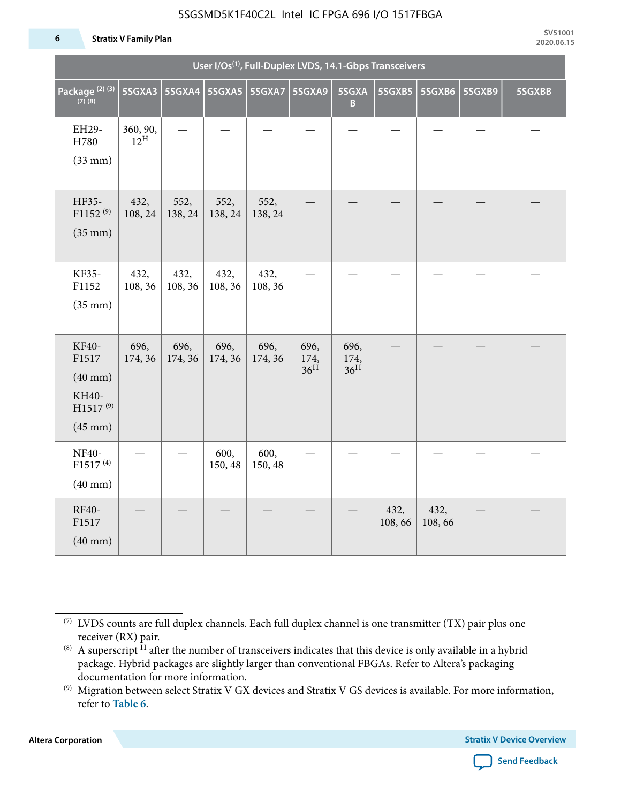#### **6 Stratix V Family Plan**

|                                                                                 | User I/Os <sup>(1)</sup> , Full-Duplex LVDS, 14.1-Gbps Transceivers |                 |                          |                 |                                 |                                 |                |                |        |        |  |  |
|---------------------------------------------------------------------------------|---------------------------------------------------------------------|-----------------|--------------------------|-----------------|---------------------------------|---------------------------------|----------------|----------------|--------|--------|--|--|
| Package <sup>(2)(3)</sup><br>$(7)$ (8)                                          | 5SGXA3                                                              |                 | 5SGXA4   5SGXA5   5SGXA7 |                 | 5SGXA9                          | 5SGXA<br>B                      |                | 5SGXB5 5SGXB6  | 5SGXB9 | 5SGXBB |  |  |
| EH29-<br>H780<br>$(33$ mm $)$                                                   | 360, 90,<br>$12^{\text{H}}$                                         |                 |                          |                 |                                 |                                 |                |                |        |        |  |  |
| HF35-<br>F1152 <sup>(9)</sup><br>$(35$ mm $)$                                   | 432,<br>108, 24                                                     | 552,<br>138, 24 | 552,<br>138, 24          | 552,<br>138, 24 |                                 |                                 |                |                |        |        |  |  |
| KF35-<br>F1152<br>$(35$ mm $)$                                                  | 432,<br>108, 36                                                     | 432,<br>108, 36 | 432,<br>108, 36          | 432,<br>108, 36 |                                 |                                 |                |                |        |        |  |  |
| KF40-<br>F1517<br>$(40$ mm $)$<br>KH40-<br>H1517 <sup>(9)</sup><br>$(45$ mm $)$ | 696,<br>174, 36                                                     | 696,<br>174, 36 | 696,<br>174, 36          | 696,<br>174, 36 | 696,<br>174,<br>36 <sup>H</sup> | 696,<br>174,<br>36 <sup>H</sup> |                |                |        |        |  |  |
| <b>NF40-</b><br>F1517 <sup>(4)</sup><br>$(40$ mm $)$                            |                                                                     |                 | 600,<br>150, 48          | 600,<br>150, 48 |                                 |                                 |                |                |        |        |  |  |
| RF40-<br>F1517<br>$(40$ mm $)$                                                  |                                                                     |                 |                          |                 |                                 |                                 | 432,<br>108,66 | 432,<br>108,66 |        |        |  |  |

**Altera Corporation** 



<sup>(7)</sup> LVDS counts are full duplex channels. Each full duplex channel is one transmitter (TX) pair plus one receiver (RX) pair.

<sup>(8)</sup> A superscript  $H$  after the number of transceivers indicates that this device is only available in a hybrid package. Hybrid packages are slightly larger than conventional FBGAs. Refer to Altera's packaging documentation for more information.

<sup>(9)</sup> Migration between select Stratix V GX devices and Stratix V GS devices is available. For more information, refer to **Table 6**.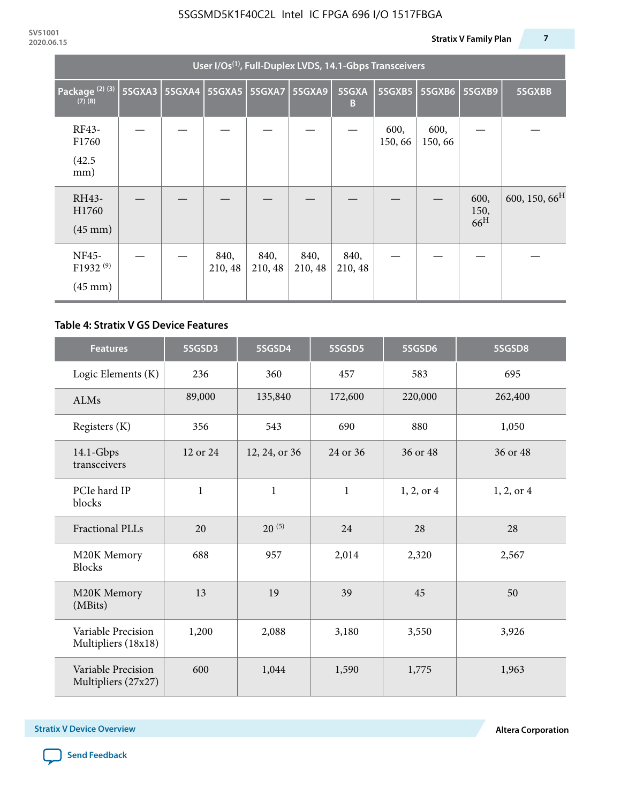|                                                    | User I/Os <sup>(1)</sup> , Full-Duplex LVDS, 14.1-Gbps Transceivers |               |                 |                 |                 |                 |                |                |                                 |                           |  |  |
|----------------------------------------------------|---------------------------------------------------------------------|---------------|-----------------|-----------------|-----------------|-----------------|----------------|----------------|---------------------------------|---------------------------|--|--|
| Package <sup>(2)(3)</sup><br>$(7)$ $(8)$           | 5SGXA3                                                              | <b>5SGXA4</b> |                 | 5SGXA5 5SGXA7   | <b>5SGXA9</b>   | 5SGXA<br>B      | 5SGXB5         | 5SGXB6         | 5SGXB9                          | 5SGXBB                    |  |  |
| RF43-<br>F1760<br>(42.5)<br>mm)                    |                                                                     |               |                 |                 |                 |                 | 600,<br>150,66 | 600,<br>150,66 |                                 |                           |  |  |
| RH43-<br>H1760<br>$(45 \text{ mm})$                |                                                                     |               |                 |                 |                 |                 |                |                | 600,<br>150,<br>66 <sup>H</sup> | 600, 150, 66 <sup>H</sup> |  |  |
| NF45-<br>F1932 <sup>(9)</sup><br>$(45 \text{ mm})$ |                                                                     |               | 840,<br>210, 48 | 840,<br>210, 48 | 840,<br>210, 48 | 840,<br>210, 48 |                |                |                                 |                           |  |  |

#### **Table 4: Stratix V GS Device Features**

| <b>Features</b>                           | 5SGSD3       | 5SGSD4        | 5SGSD5       | 5SGSD6     | 5SGSD8     |
|-------------------------------------------|--------------|---------------|--------------|------------|------------|
| Logic Elements (K)                        | 236          | 360           | 457          | 583        | 695        |
| <b>ALMs</b>                               | 89,000       | 135,840       | 172,600      | 220,000    | 262,400    |
| Registers (K)                             | 356          | 543           | 690          | 880        | 1,050      |
| $14.1$ -Gbps<br>transceivers              | 12 or 24     | 12, 24, or 36 | 24 or 36     | 36 or 48   | 36 or 48   |
| PCIe hard IP<br>blocks                    | $\mathbf{1}$ | $\mathbf{1}$  | $\mathbf{1}$ | 1, 2, or 4 | 1, 2, or 4 |
| <b>Fractional PLLs</b>                    | 20           | $20^{(5)}$    | 24           | 28         | 28         |
| M20K Memory<br><b>Blocks</b>              | 688          | 957           | 2,014        | 2,320      | 2,567      |
| M20K Memory<br>(MBits)                    | 13           |               | 39           | 45         | 50         |
| Variable Precision<br>Multipliers (18x18) | 1,200        | 2,088         | 3,180        | 3,550      | 3,926      |
| Variable Precision<br>Multipliers (27x27) | 600          | 1,044         | 1,590        | 1,775      | 1,963      |

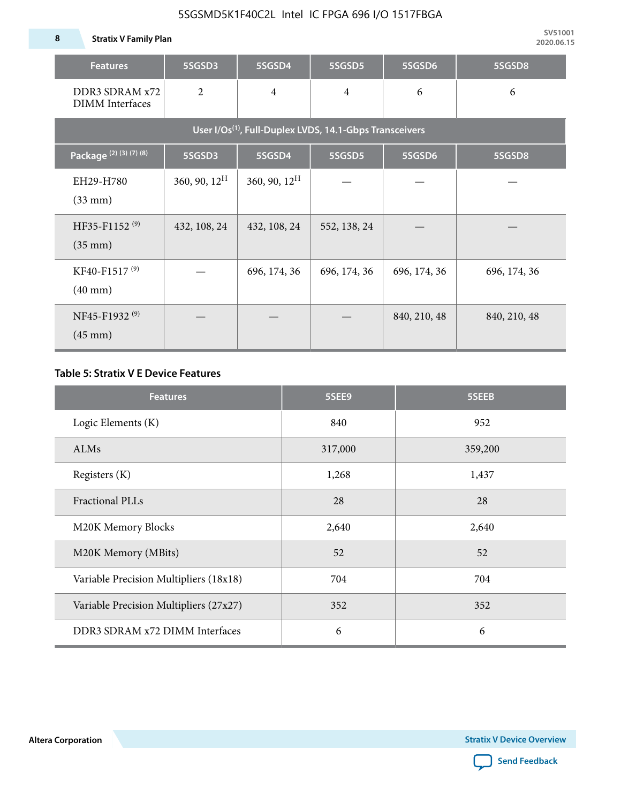**8 Stratix V Family Plan**

| <b>Features</b>                                                     | 5SGSD3                   | 5SGSD4          | 5SGSD5         | 5SGSD6       | 5SGSD8       |  |  |  |  |  |  |
|---------------------------------------------------------------------|--------------------------|-----------------|----------------|--------------|--------------|--|--|--|--|--|--|
| DDR3 SDRAM x72<br><b>DIMM</b> Interfaces                            | $\overline{2}$           | $\overline{4}$  | $\overline{4}$ | 6            | 6            |  |  |  |  |  |  |
| User I/Os <sup>(1)</sup> , Full-Duplex LVDS, 14.1-Gbps Transceivers |                          |                 |                |              |              |  |  |  |  |  |  |
| Package (2) (3) (7) (8)                                             | 5SGSD3                   | 5SGSD4          | 5SGSD5         | 5SGSD6       | 5SGSD8       |  |  |  |  |  |  |
| EH29-H780<br>$(33$ mm $)$                                           | $360, 90, 12^{\text{H}}$ | 360, 90, $12^H$ |                |              |              |  |  |  |  |  |  |
| HF35-F1152 <sup>(9)</sup><br>$(35 \text{ mm})$                      | 432, 108, 24             | 432, 108, 24    | 552, 138, 24   |              |              |  |  |  |  |  |  |
| KF40-F1517 <sup>(9)</sup><br>$(40 \text{ mm})$                      |                          | 696, 174, 36    | 696, 174, 36   | 696, 174, 36 | 696, 174, 36 |  |  |  |  |  |  |
| NF45-F1932 <sup>(9)</sup><br>$(45 \text{ mm})$                      |                          |                 |                | 840, 210, 48 | 840, 210, 48 |  |  |  |  |  |  |

#### **Table 5: Stratix V E Device Features**

| <b>Features</b>                        | 5SEE9   | 5SEEB   |
|----------------------------------------|---------|---------|
| Logic Elements (K)                     | 840     | 952     |
| <b>ALMs</b>                            | 317,000 | 359,200 |
| Registers (K)                          | 1,268   | 1,437   |
| Fractional PLLs                        | 28      | 28      |
| M20K Memory Blocks                     | 2,640   | 2,640   |
| M20K Memory (MBits)                    | 52      | 52      |
| Variable Precision Multipliers (18x18) | 704     | 704     |
| Variable Precision Multipliers (27x27) | 352     | 352     |
| DDR3 SDRAM x72 DIMM Interfaces         | 6       | 6       |

**Altera Corporation** 

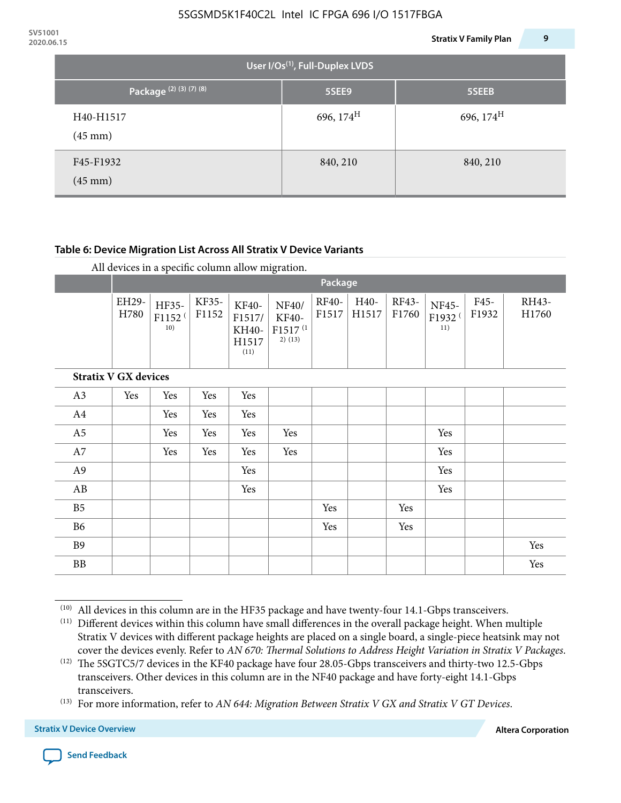| 2020.06.15 |                                                                     |                                             | 9<br><b>Stratix V Family Plan</b> |
|------------|---------------------------------------------------------------------|---------------------------------------------|-----------------------------------|
|            |                                                                     | User I/Os <sup>(1)</sup> , Full-Duplex LVDS |                                   |
|            | Package <sup>(2)</sup> <sup>(3)</sup> <sup>(7)</sup> <sup>(8)</sup> | 5SEE9                                       | 5SEEB                             |
|            | H40-H1517<br>$(45 \text{ mm})$                                      | 696, 174 <sup>H</sup>                       | 696, 174 <sup>H</sup>             |
|            | F45-F1932<br>$(45 \text{ mm})$                                      | 840, 210                                    | 840, 210                          |

#### **Table 6: Device Migration List Across All Stratix V Device Variants**

|  |  | All devices in a specific column allow migration. |
|--|--|---------------------------------------------------|
|--|--|---------------------------------------------------|

|                             |               | Package                            |                |                                           |                                                           |                |               |                |                                    |               |                |
|-----------------------------|---------------|------------------------------------|----------------|-------------------------------------------|-----------------------------------------------------------|----------------|---------------|----------------|------------------------------------|---------------|----------------|
|                             | EH29-<br>H780 | HF35-<br>F1152 <sup>(</sup><br>10) | KF35-<br>F1152 | KF40-<br>F1517/<br>KH40-<br>H1517<br>(11) | NF40/<br><b>KF40-</b><br>F1517 <sup>(1</sup><br>$2)$ (13) | RF40-<br>F1517 | H40-<br>H1517 | RF43-<br>F1760 | NF45-<br>F1932 <sup>(</sup><br>11) | F45-<br>F1932 | RH43-<br>H1760 |
| <b>Stratix V GX devices</b> |               |                                    |                |                                           |                                                           |                |               |                |                                    |               |                |
| A3                          | Yes           | Yes                                | Yes            | Yes                                       |                                                           |                |               |                |                                    |               |                |
| A4                          |               | Yes                                | Yes            | Yes                                       |                                                           |                |               |                |                                    |               |                |
| A <sub>5</sub>              |               | Yes                                | Yes            | Yes                                       | Yes                                                       |                |               |                | Yes                                |               |                |
| A7                          |               | Yes                                | Yes            | Yes                                       | Yes                                                       |                |               |                | Yes                                |               |                |
| A <sub>9</sub>              |               |                                    |                | Yes                                       |                                                           |                |               |                | Yes                                |               |                |
| AB                          |               |                                    |                | Yes                                       |                                                           |                |               |                | Yes                                |               |                |
| B <sub>5</sub>              |               |                                    |                |                                           |                                                           | Yes            |               | Yes            |                                    |               |                |
| B <sub>6</sub>              |               |                                    |                |                                           |                                                           | Yes            |               | Yes            |                                    |               |                |
| <b>B9</b>                   |               |                                    |                |                                           |                                                           |                |               |                |                                    |               | Yes            |
| <b>BB</b>                   |               |                                    |                |                                           |                                                           |                |               |                |                                    |               | Yes            |

 $(10)$  All devices in this column are in the HF35 package and have twenty-four 14.1-Gbps transceivers.



<sup>(11)</sup> Different devices within this column have small differences in the overall package height. When multiple Stratix V devices with different package heights are placed on a single board, a single-piece heatsink may not cover the devices evenly. Refer to *AN 670: Thermal Solutions to Address Height Variation in Stratix V Packages*.

<sup>(12)</sup> The 5SGTC5/7 devices in the KF40 package have four 28.05-Gbps transceivers and thirty-two 12.5-Gbps transceivers. Other devices in this column are in the NF40 package and have forty-eight 14.1-Gbps transceivers.

<sup>(13)</sup> For more information, refer to *AN 644: Migration Between Stratix V GX and Stratix V GT Devices*.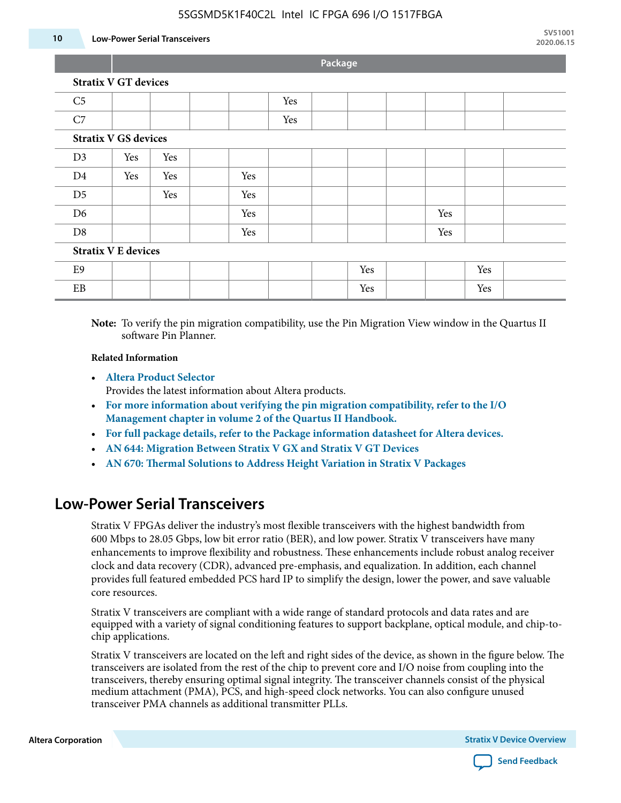#### **10 Low-Power Serial Transceivers**

**Package**

|                | <b>Stratix V GT devices</b> |     |     |     |  |     |
|----------------|-----------------------------|-----|-----|-----|--|-----|
| C <sub>5</sub> |                             |     |     | Yes |  |     |
| C7             |                             |     |     | Yes |  |     |
|                | <b>Stratix V GS devices</b> |     |     |     |  |     |
| D <sub>3</sub> | Yes                         | Yes |     |     |  |     |
| D4             | Yes                         | Yes | Yes |     |  |     |
| D <sub>5</sub> |                             | Yes | Yes |     |  |     |
| D6             |                             |     | Yes |     |  | Yes |

D8 | | | Yes | | | Yes | | | | Yes

#### **Stratix V E devices**

| $\mathbf{E}$<br>ヒン |  |  |  | Yes |  | Yes |  |
|--------------------|--|--|--|-----|--|-----|--|
| <b>DD</b><br>FR    |  |  |  | Yes |  | Yes |  |

**Note:** To verify the pin migration compatibility, use the Pin Migration View window in the Quartus II software Pin Planner.

#### **Related Information**

• **[Altera Product Selector](http://www.altera.com/products/selector/psg-selector.html#)**

Provides the latest information about Altera products.

- **[For more information about verifying the pin migration compatibility, refer to the I/O](http://www.altera.com/literature/hb/qts/qts_qii52013.pdf) [Management chapter in volume 2 of the Quartus II Handbook.](http://www.altera.com/literature/hb/qts/qts_qii52013.pdf)**
- **[For full package details, refer to the Package information datasheet for Altera devices.](http://www.altera.com/support/devices/packaging/specifications/pkg-pin/spe-index.jsp)**
- **[AN 644: Migration Between Stratix V GX and Stratix V GT Devices](http://www.altera.com/literature/an/an644.pdf)**
- **[AN 670: Thermal Solutions to Address Height Variation in Stratix V Packages](http://www.altera.com/literature/an/an670.pdf)**

### **Low-Power Serial Transceivers**

Stratix V FPGAs deliver the industry's most flexible transceivers with the highest bandwidth from 600 Mbps to 28.05 Gbps, low bit error ratio (BER), and low power. Stratix V transceivers have many enhancements to improve flexibility and robustness. These enhancements include robust analog receiver clock and data recovery (CDR), advanced pre-emphasis, and equalization. In addition, each channel provides full featured embedded PCS hard IP to simplify the design, lower the power, and save valuable core resources.

Stratix V transceivers are compliant with a wide range of standard protocols and data rates and are equipped with a variety of signal conditioning features to support backplane, optical module, and chip-tochip applications.

Stratix V transceivers are located on the left and right sides of the device, as shown in the figure below. The transceivers are isolated from the rest of the chip to prevent core and I/O noise from coupling into the transceivers, thereby ensuring optimal signal integrity. The transceiver channels consist of the physical medium attachment (PMA), PCS, and high-speed clock networks. You can also configure unused transceiver PMA channels as additional transmitter PLLs.

**Altera Corporation Stratix V Device Overview**

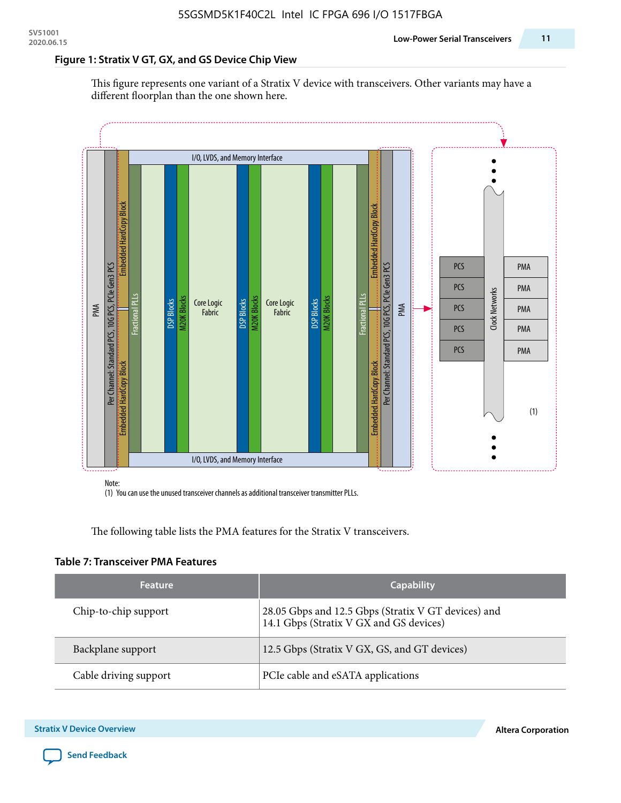#### **Figure 1: Stratix V GT, GX, and GS Device Chip View**

This figure represents one variant of a Stratix V device with transceivers. Other variants may have a different floorplan than the one shown here.



(1) You can use the unused transceiver channels as additional transceiver transmitter PLLs.

The following table lists the PMA features for the Stratix V transceivers.

#### **Table 7: Transceiver PMA Features**

| <b>Feature</b>        | <b>Capability</b>                                                                              |
|-----------------------|------------------------------------------------------------------------------------------------|
| Chip-to-chip support  | 28.05 Gbps and 12.5 Gbps (Stratix V GT devices) and<br>14.1 Gbps (Stratix V GX and GS devices) |
| Backplane support     | 12.5 Gbps (Stratix V GX, GS, and GT devices)                                                   |
| Cable driving support | PCIe cable and eSATA applications                                                              |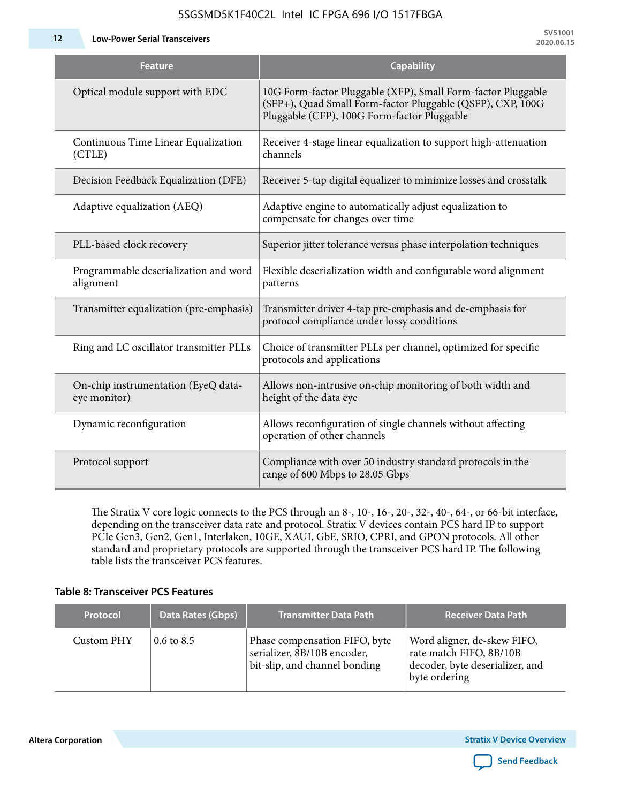**12 Low-Power Serial Transceivers**

| <b>Feature</b>                                      | <b>Capability</b>                                                                                                                                                         |
|-----------------------------------------------------|---------------------------------------------------------------------------------------------------------------------------------------------------------------------------|
| Optical module support with EDC                     | 10G Form-factor Pluggable (XFP), Small Form-factor Pluggable<br>(SFP+), Quad Small Form-factor Pluggable (QSFP), CXP, 100G<br>Pluggable (CFP), 100G Form-factor Pluggable |
| Continuous Time Linear Equalization<br>(CTLE)       | Receiver 4-stage linear equalization to support high-attenuation<br>channels                                                                                              |
| Decision Feedback Equalization (DFE)                | Receiver 5-tap digital equalizer to minimize losses and crosstalk                                                                                                         |
| Adaptive equalization (AEQ)                         | Adaptive engine to automatically adjust equalization to<br>compensate for changes over time                                                                               |
| PLL-based clock recovery                            | Superior jitter tolerance versus phase interpolation techniques                                                                                                           |
| Programmable deserialization and word<br>alignment  | Flexible deserialization width and configurable word alignment<br>patterns                                                                                                |
| Transmitter equalization (pre-emphasis)             | Transmitter driver 4-tap pre-emphasis and de-emphasis for<br>protocol compliance under lossy conditions                                                                   |
| Ring and LC oscillator transmitter PLLs             | Choice of transmitter PLLs per channel, optimized for specific<br>protocols and applications                                                                              |
| On-chip instrumentation (EyeQ data-<br>eye monitor) | Allows non-intrusive on-chip monitoring of both width and<br>height of the data eye                                                                                       |
| Dynamic reconfiguration                             | Allows reconfiguration of single channels without affecting<br>operation of other channels                                                                                |
| Protocol support                                    | Compliance with over 50 industry standard protocols in the<br>range of 600 Mbps to 28.05 Gbps                                                                             |

The Stratix V core logic connects to the PCS through an 8-, 10-, 16-, 20-, 32-, 40-, 64-, or 66-bit interface, depending on the transceiver data rate and protocol. Stratix V devices contain PCS hard IP to support PCIe Gen3, Gen2, Gen1, Interlaken, 10GE, XAUI, GbE, SRIO, CPRI, and GPON protocols. All other standard and proprietary protocols are supported through the transceiver PCS hard IP. The following table lists the transceiver PCS features.

#### **Table 8: Transceiver PCS Features**

| <b>Protocol</b> | Data Rates (Gbps)     | <b>Transmitter Data Path</b>                                                                  | <b>Receiver Data Path</b>                                                                                  |
|-----------------|-----------------------|-----------------------------------------------------------------------------------------------|------------------------------------------------------------------------------------------------------------|
| Custom PHY      | $0.6 \text{ to } 8.5$ | Phase compensation FIFO, byte<br>serializer, 8B/10B encoder,<br>bit-slip, and channel bonding | Word aligner, de-skew FIFO,<br>rate match FIFO, 8B/10B<br>decoder, byte deserializer, and<br>byte ordering |

**Altera Corporation** 

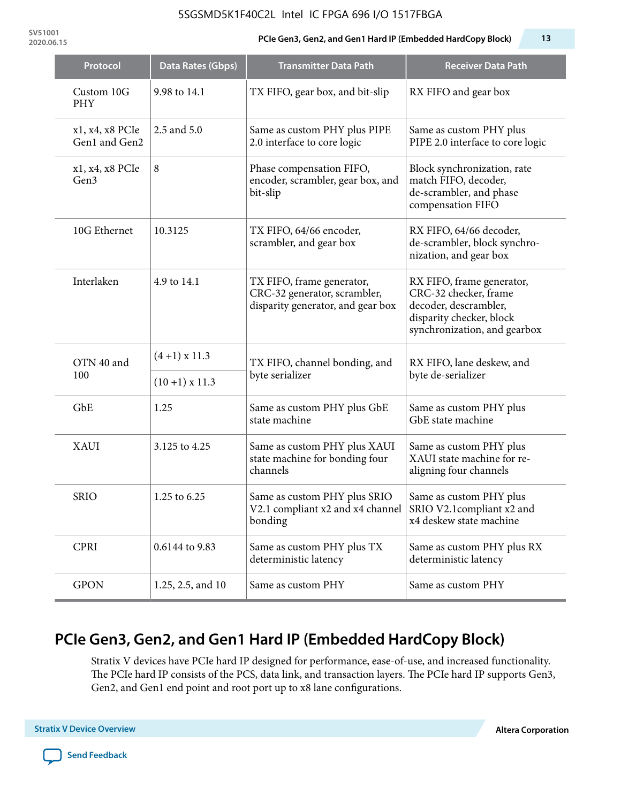**SV51001**

#### **2020.06.15 PCIe Gen3, Gen2, and Gen1 Hard IP (Embedded HardCopy Block) 13**

| Protocol                         | <b>Data Rates (Gbps)</b> | <b>Transmitter Data Path</b>                                                                           | <b>Receiver Data Path</b>                                                                                                               |  |
|----------------------------------|--------------------------|--------------------------------------------------------------------------------------------------------|-----------------------------------------------------------------------------------------------------------------------------------------|--|
| Custom 10G<br><b>PHY</b>         | 9.98 to 14.1             | TX FIFO, gear box, and bit-slip                                                                        | RX FIFO and gear box                                                                                                                    |  |
| x1, x4, x8 PCIe<br>Gen1 and Gen2 | 2.5 and 5.0              | Same as custom PHY plus PIPE<br>2.0 interface to core logic                                            | Same as custom PHY plus<br>PIPE 2.0 interface to core logic                                                                             |  |
| x1, x4, x8 PCIe<br>Gen3          | 8                        | Phase compensation FIFO,<br>encoder, scrambler, gear box, and<br>bit-slip                              | Block synchronization, rate<br>match FIFO, decoder,<br>de-scrambler, and phase<br>compensation FIFO                                     |  |
| 10G Ethernet                     | 10.3125                  | TX FIFO, 64/66 encoder,<br>scrambler, and gear box                                                     | RX FIFO, 64/66 decoder,<br>de-scrambler, block synchro-<br>nization, and gear box                                                       |  |
| Interlaken                       | 4.9 to 14.1              | TX FIFO, frame generator,<br>CRC-32 generator, scrambler,<br>disparity generator, and gear box         | RX FIFO, frame generator,<br>CRC-32 checker, frame<br>decoder, descrambler,<br>disparity checker, block<br>synchronization, and gearbox |  |
| OTN 40 and                       | $(4+1)$ x 11.3           | TX FIFO, channel bonding, and                                                                          | RX FIFO, lane deskew, and                                                                                                               |  |
| 100                              | $(10+1)$ x 11.3          | byte serializer                                                                                        | byte de-serializer                                                                                                                      |  |
| GbE                              | 1.25                     | Same as custom PHY plus GbE<br>state machine                                                           | Same as custom PHY plus<br>GbE state machine                                                                                            |  |
| <b>XAUI</b>                      | 3.125 to 4.25            | Same as custom PHY plus XAUI<br>state machine for bonding four<br>channels                             | Same as custom PHY plus<br>XAUI state machine for re-<br>aligning four channels                                                         |  |
| <b>SRIO</b>                      | 1.25 to 6.25             | Same as custom PHY plus SRIO<br>V2.1 compliant x2 and x4 channel SRIO V2.1 compliant x2 and<br>bonding | Same as custom PHY plus<br>x4 deskew state machine                                                                                      |  |
| <b>CPRI</b>                      | 0.6144 to 9.83           | Same as custom PHY plus TX<br>deterministic latency                                                    | Same as custom PHY plus RX<br>deterministic latency                                                                                     |  |
| <b>GPON</b>                      | 1.25, 2.5, and 10        | Same as custom PHY                                                                                     | Same as custom PHY                                                                                                                      |  |

# **PCIe Gen3, Gen2, and Gen1 Hard IP (Embedded HardCopy Block)**

Stratix V devices have PCIe hard IP designed for performance, ease-of-use, and increased functionality. The PCIe hard IP consists of the PCS, data link, and transaction layers. The PCIe hard IP supports Gen3, Gen2, and Gen1 end point and root port up to x8 lane configurations.

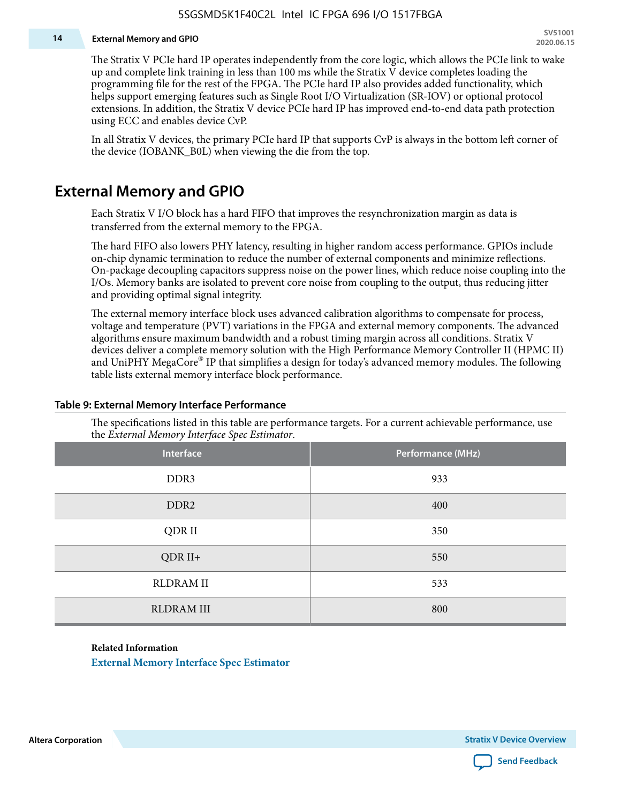#### **14 External Memory and GPIO**

The Stratix V PCIe hard IP operates independently from the core logic, which allows the PCIe link to wake up and complete link training in less than 100 ms while the Stratix V device completes loading the programming file for the rest of the FPGA. The PCIe hard IP also provides added functionality, which helps support emerging features such as Single Root I/O Virtualization (SR-IOV) or optional protocol extensions. In addition, the Stratix V device PCIe hard IP has improved end-to-end data path protection using ECC and enables device CvP.

In all Stratix V devices, the primary PCIe hard IP that supports CvP is always in the bottom left corner of the device (IOBANK\_B0L) when viewing the die from the top.

### **External Memory and GPIO**

Each Stratix V I/O block has a hard FIFO that improves the resynchronization margin as data is transferred from the external memory to the FPGA.

The hard FIFO also lowers PHY latency, resulting in higher random access performance. GPIOs include on-chip dynamic termination to reduce the number of external components and minimize reflections. On-package decoupling capacitors suppress noise on the power lines, which reduce noise coupling into the I/Os. Memory banks are isolated to prevent core noise from coupling to the output, thus reducing jitter and providing optimal signal integrity.

The external memory interface block uses advanced calibration algorithms to compensate for process, voltage and temperature (PVT) variations in the FPGA and external memory components. The advanced algorithms ensure maximum bandwidth and a robust timing margin across all conditions. Stratix V devices deliver a complete memory solution with the High Performance Memory Controller II (HPMC II) and UniPHY MegaCore® IP that simplifies a design for today's advanced memory modules. The following table lists external memory interface block performance.

| Interface         | Performance (MHz) |
|-------------------|-------------------|
| DDR3              | 933               |
| DDR <sub>2</sub>  | 400               |
| QDR II            | 350               |
| $QDR II+$         | 550               |
| <b>RLDRAM II</b>  | 533               |
| <b>RLDRAM III</b> | 800               |

#### **Table 9: External Memory Interface Performance**

The specifications listed in this table are performance targets. For a current achievable performance, use the *External Memory Interface Spec Estimator*.

#### **Related Information**

**[External Memory Interface Spec Estimator](http://www.altera.com/technology/memory/estimator/mem-emif-index.html)**

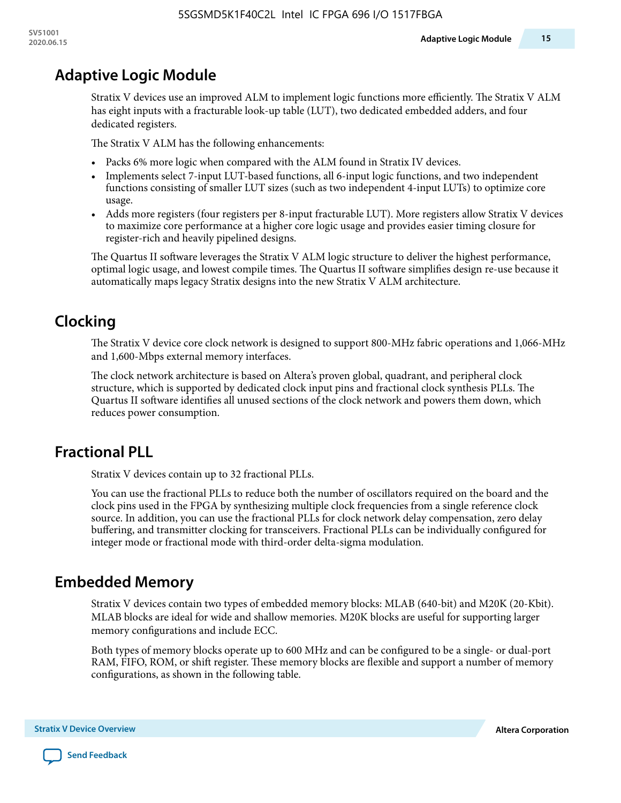# **Adaptive Logic Module**

Stratix V devices use an improved ALM to implement logic functions more efficiently. The Stratix V ALM has eight inputs with a fracturable look-up table (LUT), two dedicated embedded adders, and four dedicated registers.

The Stratix V ALM has the following enhancements:

- Packs 6% more logic when compared with the ALM found in Stratix IV devices.
- Implements select 7-input LUT-based functions, all 6-input logic functions, and two independent functions consisting of smaller LUT sizes (such as two independent 4-input LUTs) to optimize core usage.
- Adds more registers (four registers per 8-input fracturable LUT). More registers allow Stratix V devices to maximize core performance at a higher core logic usage and provides easier timing closure for register-rich and heavily pipelined designs.

The Quartus II software leverages the Stratix V ALM logic structure to deliver the highest performance, optimal logic usage, and lowest compile times. The Quartus II software simplifies design re-use because it automatically maps legacy Stratix designs into the new Stratix V ALM architecture.

# **Clocking**

The Stratix V device core clock network is designed to support 800-MHz fabric operations and 1,066-MHz and 1,600-Mbps external memory interfaces.

The clock network architecture is based on Altera's proven global, quadrant, and peripheral clock structure, which is supported by dedicated clock input pins and fractional clock synthesis PLLs. The Quartus II software identifies all unused sections of the clock network and powers them down, which reduces power consumption.

### **Fractional PLL**

Stratix V devices contain up to 32 fractional PLLs.

You can use the fractional PLLs to reduce both the number of oscillators required on the board and the clock pins used in the FPGA by synthesizing multiple clock frequencies from a single reference clock source. In addition, you can use the fractional PLLs for clock network delay compensation, zero delay buffering, and transmitter clocking for transceivers. Fractional PLLs can be individually configured for integer mode or fractional mode with third-order delta-sigma modulation.

### **Embedded Memory**

Stratix V devices contain two types of embedded memory blocks: MLAB (640-bit) and M20K (20-Kbit). MLAB blocks are ideal for wide and shallow memories. M20K blocks are useful for supporting larger memory configurations and include ECC.

Both types of memory blocks operate up to 600 MHz and can be configured to be a single- or dual-port RAM, FIFO, ROM, or shift register. These memory blocks are flexible and support a number of memory configurations, as shown in the following table.

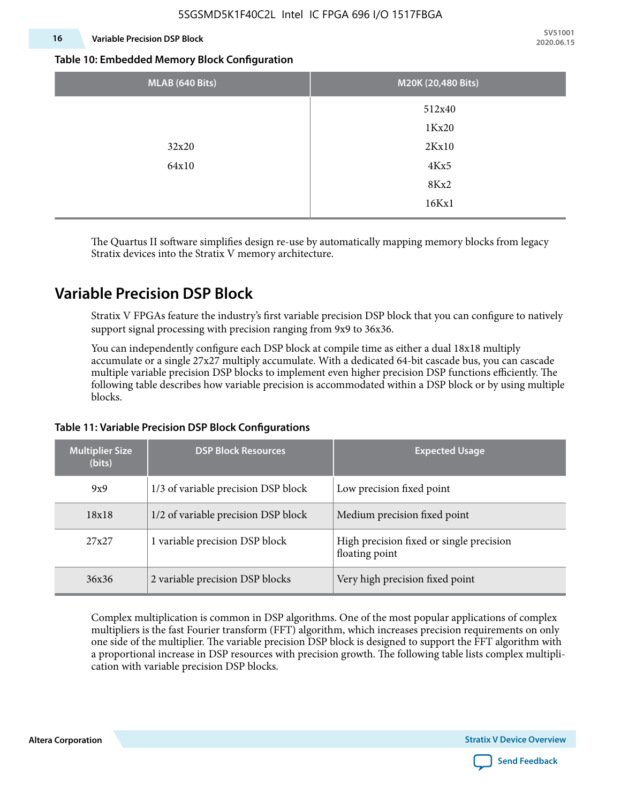#### **16 Variable Precision DSP Block**

**SV51001 2020.06.15**

#### **Table 10: Embedded Memory Block Configuration**

| MLAB (640 Bits) | M20K (20,480 Bits) |
|-----------------|--------------------|
|                 | 512x40             |
|                 | 1Kx20              |
| 32x20           | 2Kx10              |
| 64x10           | 4Kx5               |
|                 | 8Kx2               |
|                 | 16Kx1              |

The Quartus II software simplifies design re-use by automatically mapping memory blocks from legacy Stratix devices into the Stratix V memory architecture.

### **Variable Precision DSP Block**

Stratix V FPGAs feature the industry's first variable precision DSP block that you can configure to natively support signal processing with precision ranging from 9x9 to 36x36.

You can independently configure each DSP block at compile time as either a dual 18x18 multiply accumulate or a single 27x27 multiply accumulate. With a dedicated 64-bit cascade bus, you can cascade multiple variable precision DSP blocks to implement even higher precision DSP functions efficiently. The following table describes how variable precision is accommodated within a DSP block or by using multiple blocks.

| <b>Multiplier Size</b><br>(bits) | <b>DSP Block Resources</b>          | <b>Expected Usage</b>                                      |
|----------------------------------|-------------------------------------|------------------------------------------------------------|
| 9x9                              | 1/3 of variable precision DSP block | Low precision fixed point                                  |
| 18x18                            | 1/2 of variable precision DSP block | Medium precision fixed point                               |
| 27x27                            | 1 variable precision DSP block      | High precision fixed or single precision<br>floating point |
| 36x36                            | 2 variable precision DSP blocks     | Very high precision fixed point                            |

#### **Table 11: Variable Precision DSP Block Configurations**

Complex multiplication is common in DSP algorithms. One of the most popular applications of complex multipliers is the fast Fourier transform (FFT) algorithm, which increases precision requirements on only one side of the multiplier. The variable precision DSP block is designed to support the FFT algorithm with a proportional increase in DSP resources with precision growth. The following table lists complex multipli‐ cation with variable precision DSP blocks.

**Altera Corporation** 

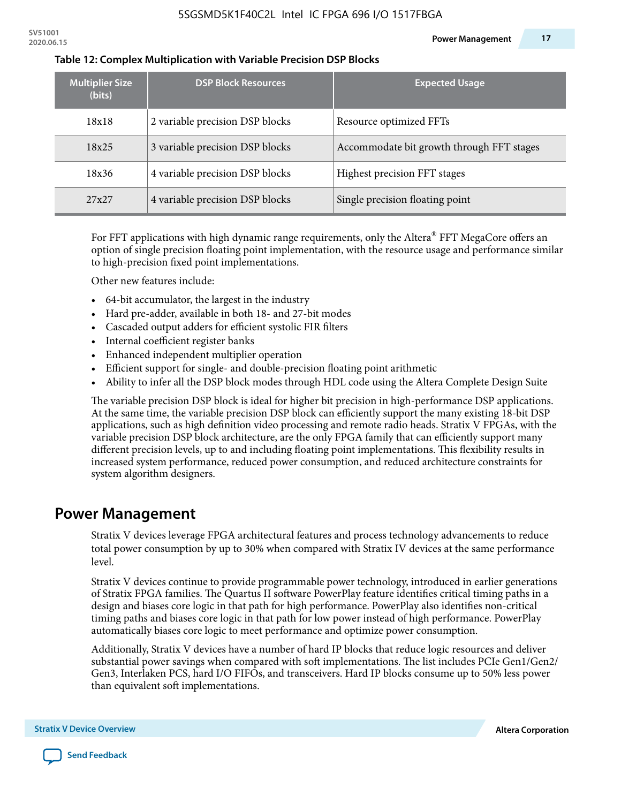| <b>Multiplier Size</b><br>(bits) | <b>DSP Block Resources</b>      | <b>Expected Usage</b>                     |
|----------------------------------|---------------------------------|-------------------------------------------|
| 18x18                            | 2 variable precision DSP blocks | Resource optimized FFTs                   |
| 18x25                            | 3 variable precision DSP blocks | Accommodate bit growth through FFT stages |
| 18x36                            | 4 variable precision DSP blocks | Highest precision FFT stages              |
| 27x27                            | 4 variable precision DSP blocks | Single precision floating point           |

#### **Table 12: Complex Multiplication with Variable Precision DSP Blocks**

For FFT applications with high dynamic range requirements, only the Altera $^\circ$  FFT MegaCore offers an option of single precision floating point implementation, with the resource usage and performance similar to high-precision fixed point implementations.

Other new features include:

- 64-bit accumulator, the largest in the industry
- Hard pre-adder, available in both 18- and 27-bit modes
- Cascaded output adders for efficient systolic FIR filters
- Internal coefficient register banks
- Enhanced independent multiplier operation
- Efficient support for single- and double-precision floating point arithmetic
- Ability to infer all the DSP block modes through HDL code using the Altera Complete Design Suite

The variable precision DSP block is ideal for higher bit precision in high-performance DSP applications. At the same time, the variable precision DSP block can efficiently support the many existing 18-bit DSP applications, such as high definition video processing and remote radio heads. Stratix V FPGAs, with the variable precision DSP block architecture, are the only FPGA family that can efficiently support many different precision levels, up to and including floating point implementations. This flexibility results in increased system performance, reduced power consumption, and reduced architecture constraints for system algorithm designers.

### **Power Management**

Stratix V devices leverage FPGA architectural features and process technology advancements to reduce total power consumption by up to 30% when compared with Stratix IV devices at the same performance level.

Stratix V devices continue to provide programmable power technology, introduced in earlier generations of Stratix FPGA families. The Quartus II software PowerPlay feature identifies critical timing paths in a design and biases core logic in that path for high performance. PowerPlay also identifies non-critical timing paths and biases core logic in that path for low power instead of high performance. PowerPlay automatically biases core logic to meet performance and optimize power consumption.

Additionally, Stratix V devices have a number of hard IP blocks that reduce logic resources and deliver substantial power savings when compared with soft implementations. The list includes PCIe Gen1/Gen2/ Gen3, Interlaken PCS, hard I/O FIFOs, and transceivers. Hard IP blocks consume up to 50% less power than equivalent soft implementations.

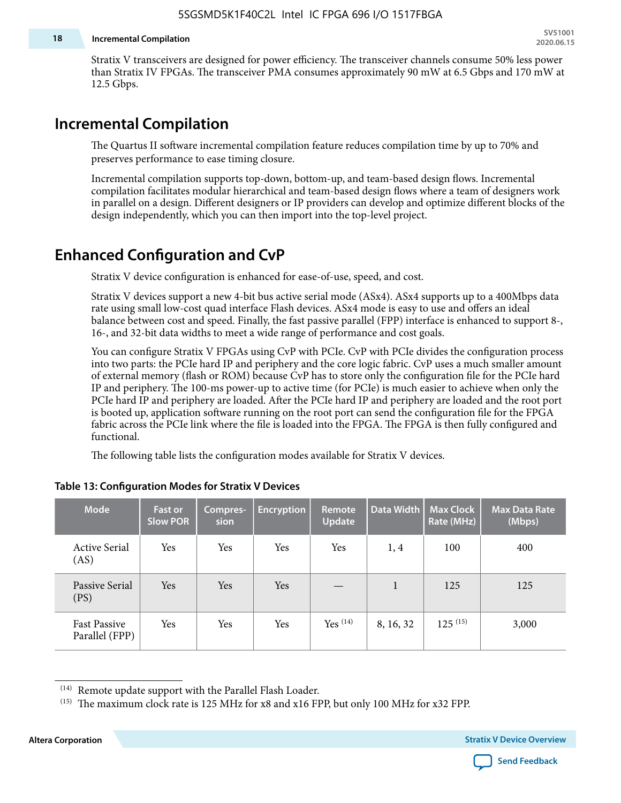#### **18 Incremental Compilation**

Stratix V transceivers are designed for power efficiency. The transceiver channels consume 50% less power than Stratix IV FPGAs. The transceiver PMA consumes approximately 90 mW at 6.5 Gbps and 170 mW at 12.5 Gbps.

### **Incremental Compilation**

The Quartus II software incremental compilation feature reduces compilation time by up to 70% and preserves performance to ease timing closure.

Incremental compilation supports top-down, bottom-up, and team-based design flows. Incremental compilation facilitates modular hierarchical and team-based design flows where a team of designers work in parallel on a design. Different designers or IP providers can develop and optimize different blocks of the design independently, which you can then import into the top-level project.

### **Enhanced Configuration and CvP**

Stratix V device configuration is enhanced for ease-of-use, speed, and cost.

Stratix V devices support a new 4-bit bus active serial mode (ASx4). ASx4 supports up to a 400Mbps data rate using small low-cost quad interface Flash devices. ASx4 mode is easy to use and offers an ideal balance between cost and speed. Finally, the fast passive parallel (FPP) interface is enhanced to support 8-, 16-, and 32-bit data widths to meet a wide range of performance and cost goals.

You can configure Stratix V FPGAs using CvP with PCIe. CvP with PCIe divides the configuration process into two parts: the PCIe hard IP and periphery and the core logic fabric. CvP uses a much smaller amount of external memory (flash or ROM) because CvP has to store only the configuration file for the PCIe hard IP and periphery. The 100-ms power-up to active time (for PCIe) is much easier to achieve when only the PCIe hard IP and periphery are loaded. After the PCIe hard IP and periphery are loaded and the root port is booted up, application software running on the root port can send the configuration file for the FPGA fabric across the PCIe link where the file is loaded into the FPGA. The FPGA is then fully configured and functional.

The following table lists the configuration modes available for Stratix V devices.

| <b>Mode</b>                           | <b>Fast or</b><br><b>Slow POR</b> | Compres-<br>sion | <b>Encryption</b> | <b>Remote</b><br><b>Update</b> | Data Width | <b>Max Clock</b><br>Rate (MHz) | <b>Max Data Rate</b><br>(Mbps) |
|---------------------------------------|-----------------------------------|------------------|-------------------|--------------------------------|------------|--------------------------------|--------------------------------|
| <b>Active Serial</b><br>(AS)          | Yes                               | Yes              | Yes               | Yes                            | 1,4        | 100                            | 400                            |
| Passive Serial<br>(PS)                | Yes                               | <b>Yes</b>       | Yes               |                                | 1          | 125                            | 125                            |
| <b>Fast Passive</b><br>Parallel (FPP) | Yes                               | Yes              | Yes               | Yes $(14)$                     | 8, 16, 32  | $125^{(15)}$                   | 3,000                          |

#### **Table 13: Configuration Modes for Stratix V Devices**

**Altera Corporation Stratix V Device Overview**



<sup>(14)</sup> Remote update support with the Parallel Flash Loader.

<sup>&</sup>lt;sup>(15)</sup> The maximum clock rate is 125 MHz for x8 and x16 FPP, but only 100 MHz for x32 FPP.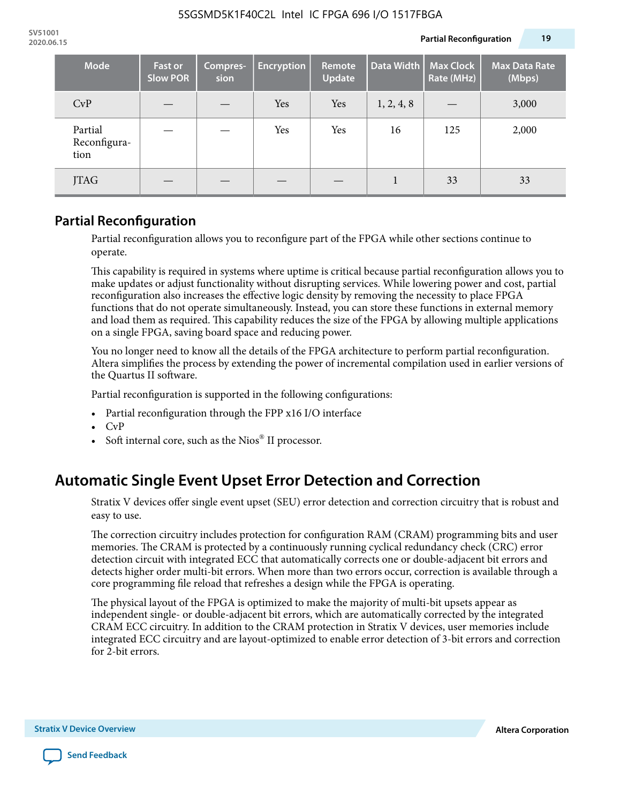| Mode                            | <b>Fast or</b><br><b>Slow POR</b> | Compres-<br>sion | <b>Encryption</b> | Remote<br><b>Update</b> | Data Width | <b>Max Clock</b><br>Rate (MHz) | <b>Max Data Rate</b><br>(Mbps) |
|---------------------------------|-----------------------------------|------------------|-------------------|-------------------------|------------|--------------------------------|--------------------------------|
| CvP                             |                                   |                  | Yes               | Yes                     | 1, 2, 4, 8 |                                | 3,000                          |
| Partial<br>Reconfigura-<br>tion |                                   |                  | Yes               | Yes                     | 16         | 125                            | 2,000                          |
| <b>JTAG</b>                     |                                   |                  |                   |                         |            | 33                             | 33                             |

### **Partial Reconfiguration**

Partial reconfiguration allows you to reconfigure part of the FPGA while other sections continue to operate.

This capability is required in systems where uptime is critical because partial reconfiguration allows you to make updates or adjust functionality without disrupting services. While lowering power and cost, partial reconfiguration also increases the effective logic density by removing the necessity to place FPGA functions that do not operate simultaneously. Instead, you can store these functions in external memory and load them as required. This capability reduces the size of the FPGA by allowing multiple applications on a single FPGA, saving board space and reducing power.

You no longer need to know all the details of the FPGA architecture to perform partial reconfiguration. Altera simplifies the process by extending the power of incremental compilation used in earlier versions of the Quartus II software.

Partial reconfiguration is supported in the following configurations:

- Partial reconfiguration through the FPP x16 I/O interface
- CvP
- Soft internal core, such as the Nios® II processor.

### **Automatic Single Event Upset Error Detection and Correction**

Stratix V devices offer single event upset (SEU) error detection and correction circuitry that is robust and easy to use.

The correction circuitry includes protection for configuration RAM (CRAM) programming bits and user memories. The CRAM is protected by a continuously running cyclical redundancy check (CRC) error detection circuit with integrated ECC that automatically corrects one or double-adjacent bit errors and detects higher order multi-bit errors. When more than two errors occur, correction is available through a core programming file reload that refreshes a design while the FPGA is operating.

The physical layout of the FPGA is optimized to make the majority of multi-bit upsets appear as independent single- or double-adjacent bit errors, which are automatically corrected by the integrated CRAM ECC circuitry. In addition to the CRAM protection in Stratix V devices, user memories include integrated ECC circuitry and are layout-optimized to enable error detection of 3-bit errors and correction for 2-bit errors.

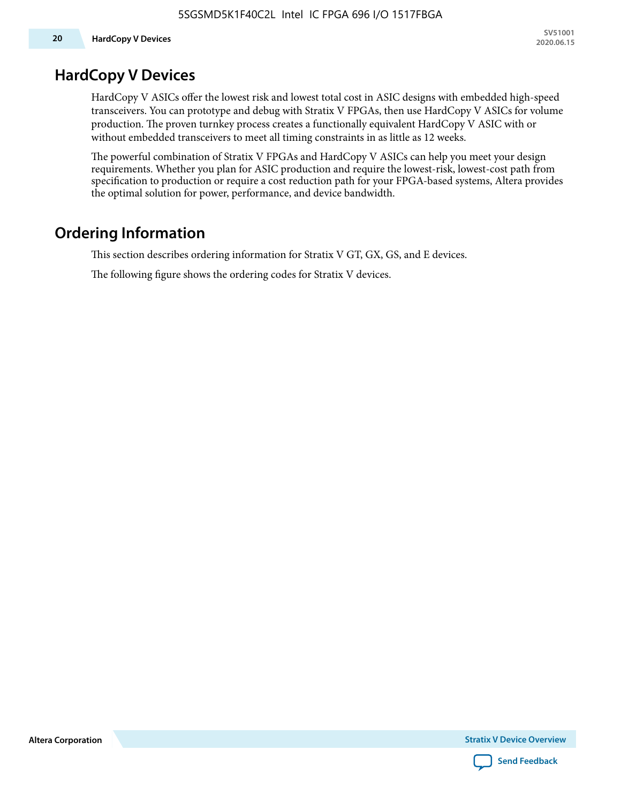### **HardCopy V Devices**

HardCopy V ASICs offer the lowest risk and lowest total cost in ASIC designs with embedded high-speed transceivers. You can prototype and debug with Stratix V FPGAs, then use HardCopy V ASICs for volume production. The proven turnkey process creates a functionally equivalent HardCopy V ASIC with or without embedded transceivers to meet all timing constraints in as little as 12 weeks.

The powerful combination of Stratix V FPGAs and HardCopy V ASICs can help you meet your design requirements. Whether you plan for ASIC production and require the lowest-risk, lowest-cost path from specification to production or require a cost reduction path for your FPGA-based systems, Altera provides the optimal solution for power, performance, and device bandwidth.

# **Ordering Information**

This section describes ordering information for Stratix V GT, GX, GS, and E devices.

The following figure shows the ordering codes for Stratix V devices.

**Altera Corporation** 

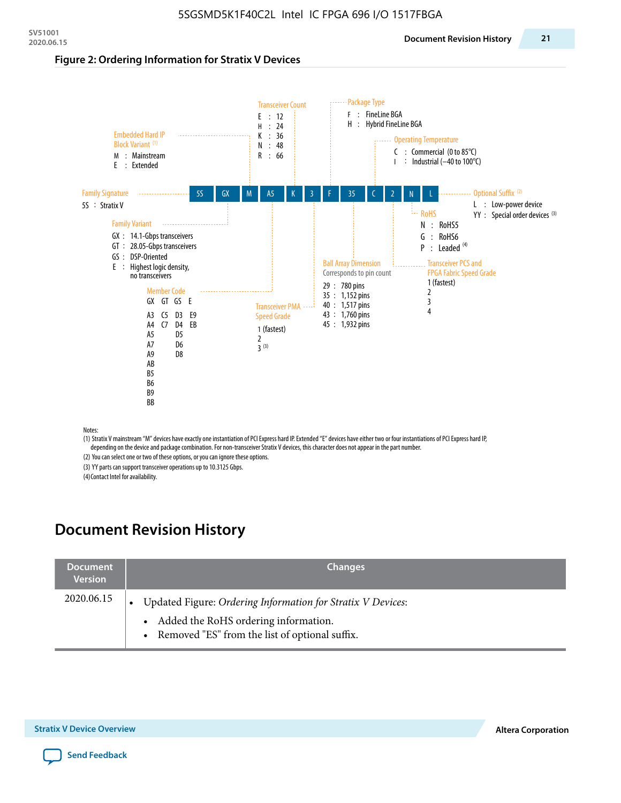#### **Figure 2: Ordering Information for Stratix V Devices**



(1) Stratix V mainstream "M" devices have exactly one instantiation of PCI Express hard IP. Extended "E" devices have either two or four instantiations of PCI Express hard IP, depending on the device and package combination. For non-transceiver Stratix V devices, this character does not appear in the part number.

(2) You can select one or two of these options, or you can ignore these options.

(3) YY parts can support transceiver operations up to 10.3125 Gbps.

(4) Contact Intel for availability.

### **Document Revision History**

| <b>Document</b><br><b>Version</b> | <b>Changes</b>                                                                                                                                            |
|-----------------------------------|-----------------------------------------------------------------------------------------------------------------------------------------------------------|
| 2020.06.15                        | Updated Figure: Ordering Information for Stratix V Devices:<br>• Added the RoHS ordering information.<br>• Removed "ES" from the list of optional suffix. |

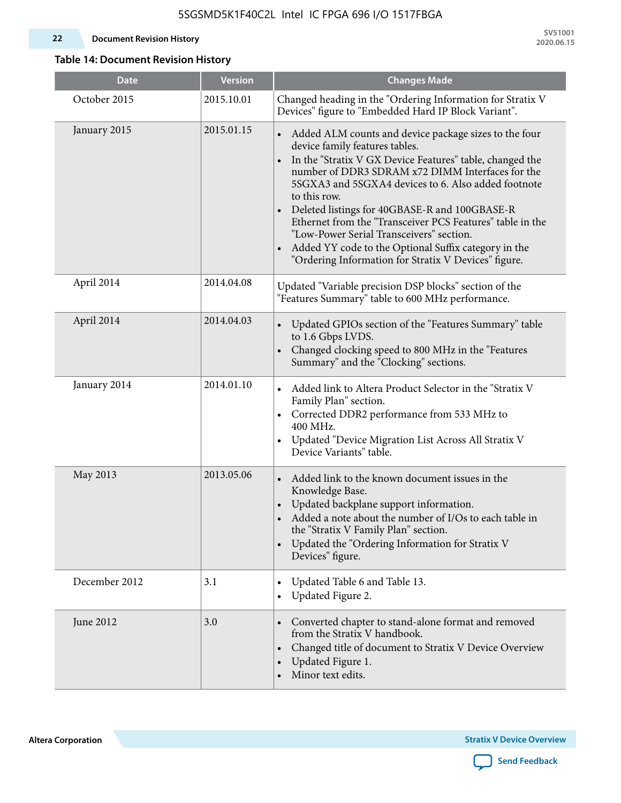#### **22 Document Revision History**

**SV51001 2020.06.15**

### **Table 14: Document Revision History**

| <b>Date</b>   | <b>Version</b> | <b>Changes Made</b>                                                                                                                                                                                                                                                                                                                                                                                                                                                                                                                                                                |
|---------------|----------------|------------------------------------------------------------------------------------------------------------------------------------------------------------------------------------------------------------------------------------------------------------------------------------------------------------------------------------------------------------------------------------------------------------------------------------------------------------------------------------------------------------------------------------------------------------------------------------|
| October 2015  | 2015.10.01     | Changed heading in the "Ordering Information for Stratix V<br>Devices" figure to "Embedded Hard IP Block Variant".                                                                                                                                                                                                                                                                                                                                                                                                                                                                 |
| January 2015  | 2015.01.15     | Added ALM counts and device package sizes to the four<br>device family features tables.<br>In the "Stratix V GX Device Features" table, changed the<br>$\bullet$<br>number of DDR3 SDRAM x72 DIMM Interfaces for the<br>5SGXA3 and 5SGXA4 devices to 6. Also added footnote<br>to this row.<br>Deleted listings for 40GBASE-R and 100GBASE-R<br>Ethernet from the "Transceiver PCS Features" table in the<br>"Low-Power Serial Transceivers" section.<br>Added YY code to the Optional Suffix category in the<br>$\bullet$<br>"Ordering Information for Stratix V Devices" figure. |
| April 2014    | 2014.04.08     | Updated "Variable precision DSP blocks" section of the<br>"Features Summary" table to 600 MHz performance.                                                                                                                                                                                                                                                                                                                                                                                                                                                                         |
| April 2014    | 2014.04.03     | Updated GPIOs section of the "Features Summary" table<br>to 1.6 Gbps LVDS.<br>Changed clocking speed to 800 MHz in the "Features<br>Summary" and the "Clocking" sections.                                                                                                                                                                                                                                                                                                                                                                                                          |
| January 2014  | 2014.01.10     | Added link to Altera Product Selector in the "Stratix V<br>Family Plan" section.<br>• Corrected DDR2 performance from 533 MHz to<br>400 MHz.<br>Updated "Device Migration List Across All Stratix V<br>Device Variants" table.                                                                                                                                                                                                                                                                                                                                                     |
| May 2013      | 2013.05.06     | Added link to the known document issues in the<br>Knowledge Base.<br>Updated backplane support information.<br>$\bullet$<br>Added a note about the number of I/Os to each table in<br>the "Stratix V Family Plan" section.<br>Updated the "Ordering Information for Stratix V<br>$\bullet$<br>Devices" figure.                                                                                                                                                                                                                                                                     |
| December 2012 | 3.1            | Updated Table 6 and Table 13.<br>$\bullet$<br>Updated Figure 2.<br>$\bullet$                                                                                                                                                                                                                                                                                                                                                                                                                                                                                                       |
| June 2012     | 3.0            | Converted chapter to stand-alone format and removed<br>$\bullet$<br>from the Stratix V handbook.<br>Changed title of document to Stratix V Device Overview<br>$\bullet$<br>Updated Figure 1.<br>$\bullet$<br>Minor text edits.                                                                                                                                                                                                                                                                                                                                                     |

**Altera Corporation** 

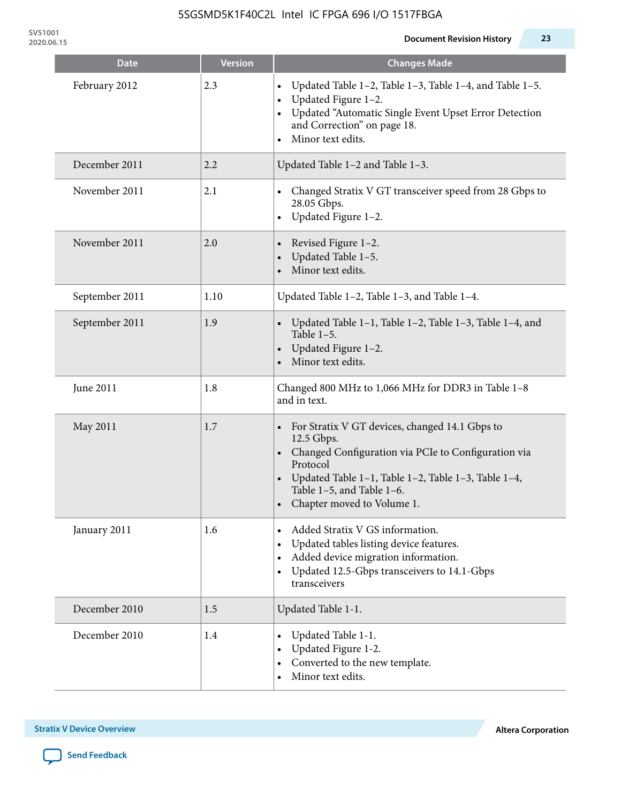**SV51001**

| <b>Date</b>    | <b>Version</b> | <b>Changes Made</b>                                                                                                                                                                                                                                              |
|----------------|----------------|------------------------------------------------------------------------------------------------------------------------------------------------------------------------------------------------------------------------------------------------------------------|
| February 2012  | 2.3            | Updated Table 1-2, Table 1-3, Table 1-4, and Table 1-5.<br>Updated Figure 1-2.<br>Updated "Automatic Single Event Upset Error Detection<br>and Correction" on page 18.<br>Minor text edits.                                                                      |
| December 2011  | 2.2            | Updated Table 1-2 and Table 1-3.                                                                                                                                                                                                                                 |
| November 2011  | 2.1            | Changed Stratix V GT transceiver speed from 28 Gbps to<br>28.05 Gbps.<br>Updated Figure 1-2.                                                                                                                                                                     |
| November 2011  | 2.0            | Revised Figure 1-2.<br>Updated Table 1-5.<br>Minor text edits.                                                                                                                                                                                                   |
| September 2011 | 1.10           | Updated Table 1-2, Table 1-3, and Table 1-4.                                                                                                                                                                                                                     |
| September 2011 | 1.9            | Updated Table 1-1, Table 1-2, Table 1-3, Table 1-4, and<br>Table $1-5$ .<br>Updated Figure 1-2.<br>Minor text edits.                                                                                                                                             |
| June 2011      | 1.8            | Changed 800 MHz to 1,066 MHz for DDR3 in Table 1-8<br>and in text.                                                                                                                                                                                               |
| May 2011       | 1.7            | For Stratix V GT devices, changed 14.1 Gbps to<br>12.5 Gbps.<br>• Changed Configuration via PCIe to Configuration via<br>Protocol<br>Updated Table 1–1, Table 1–2, Table 1–3, Table 1–4,<br>Table 1-5, and Table 1-6.<br>Chapter moved to Volume 1.<br>$\bullet$ |
| January 2011   | 1.6            | Added Stratix V GS information.<br>Updated tables listing device features.<br>Added device migration information.<br>Updated 12.5-Gbps transceivers to 14.1-Gbps<br>transceivers                                                                                 |
| December 2010  | 1.5            | Updated Table 1-1.                                                                                                                                                                                                                                               |
| December 2010  | 1.4            | Updated Table 1-1.<br>Updated Figure 1-2.<br>Converted to the new template.<br>Minor text edits.                                                                                                                                                                 |

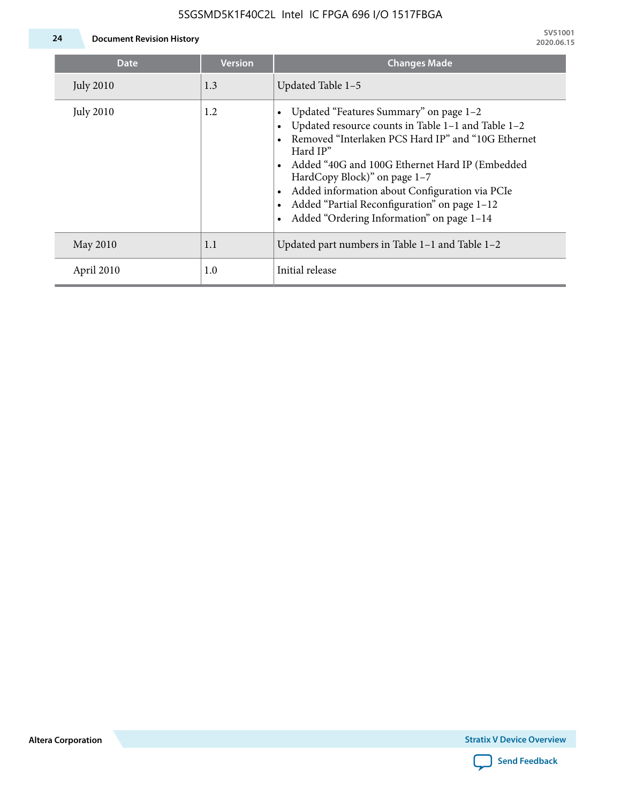

**24 Document Revision History**

| <b>Date</b>      | <b>Version</b> | <b>Changes Made</b>                                                                                                                                                                                                                                                                                                                                                                             |
|------------------|----------------|-------------------------------------------------------------------------------------------------------------------------------------------------------------------------------------------------------------------------------------------------------------------------------------------------------------------------------------------------------------------------------------------------|
| <b>July 2010</b> | 1.3            | Updated Table 1-5                                                                                                                                                                                                                                                                                                                                                                               |
| <b>July 2010</b> | 1.2            | Updated "Features Summary" on page 1-2<br>Updated resource counts in Table 1-1 and Table 1-2<br>Removed "Interlaken PCS Hard IP" and "10G Ethernet<br>Hard IP"<br>Added "40G and 100G Ethernet Hard IP (Embedded<br>HardCopy Block)" on page 1-7<br>Added information about Configuration via PCIe<br>Added "Partial Reconfiguration" on page 1-12<br>Added "Ordering Information" on page 1-14 |
| May 2010         | 1.1            | Updated part numbers in Table $1-1$ and Table $1-2$                                                                                                                                                                                                                                                                                                                                             |
| April 2010       | 1.0            | Initial release                                                                                                                                                                                                                                                                                                                                                                                 |

**Altera Corporation**